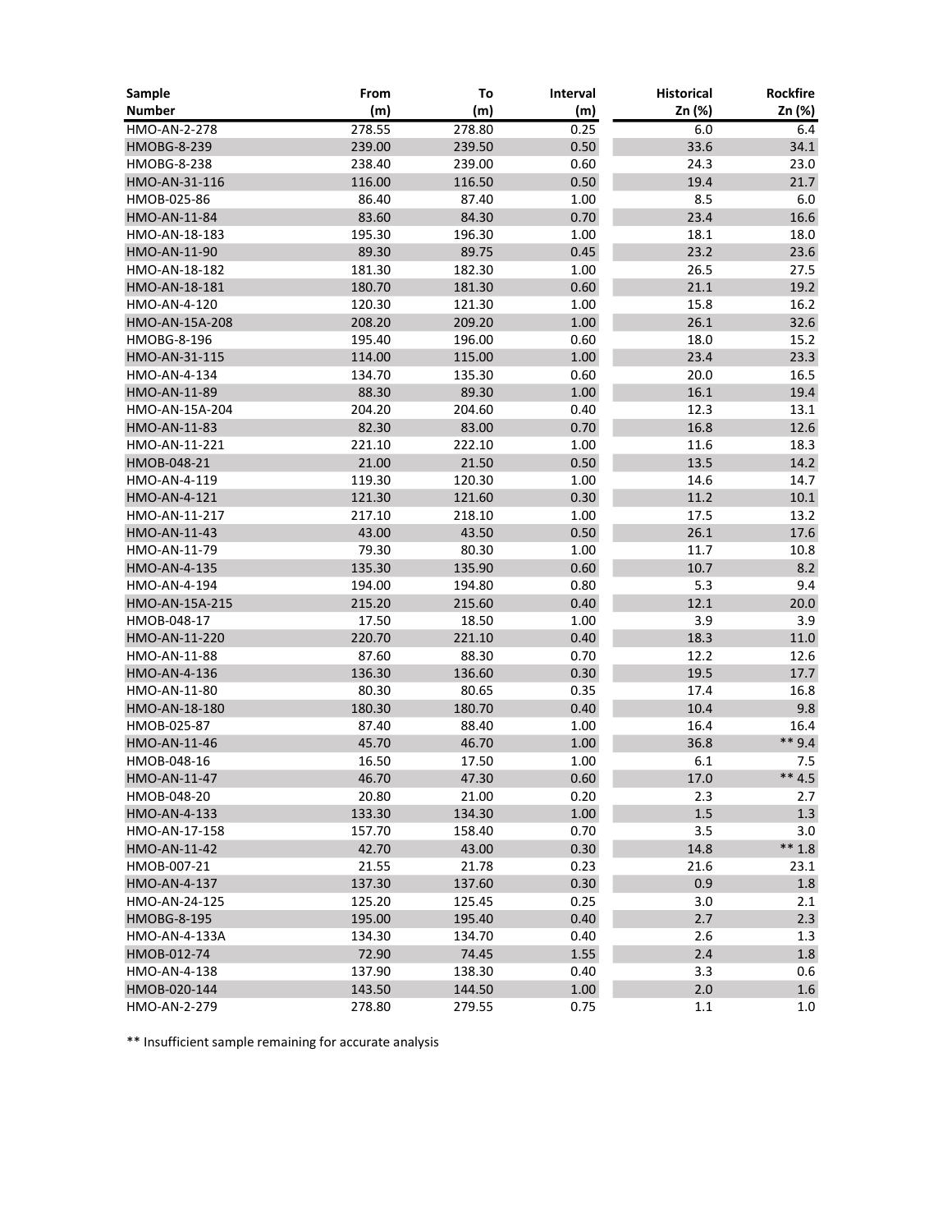| Sample             | From   | To     | Interval | <b>Historical</b> | <b>Rockfire</b>  |
|--------------------|--------|--------|----------|-------------------|------------------|
| <b>Number</b>      | (m)    | (m)    | (m)      | Zn (%)            | Zn (%)           |
| HMO-AN-2-278       | 278.55 | 278.80 | 0.25     | 6.0               | 6.4              |
| <b>HMOBG-8-239</b> | 239.00 | 239.50 | 0.50     | 33.6              | 34.1             |
| <b>HMOBG-8-238</b> | 238.40 | 239.00 | 0.60     | 24.3              | 23.0             |
| HMO-AN-31-116      | 116.00 | 116.50 | 0.50     | 19.4              | 21.7             |
| HMOB-025-86        | 86.40  | 87.40  | 1.00     | 8.5               | 6.0              |
| HMO-AN-11-84       | 83.60  | 84.30  | 0.70     | 23.4              | 16.6             |
| HMO-AN-18-183      | 195.30 | 196.30 | 1.00     | 18.1              | 18.0             |
| HMO-AN-11-90       | 89.30  | 89.75  | 0.45     | 23.2              | 23.6             |
| HMO-AN-18-182      | 181.30 | 182.30 | 1.00     | 26.5              | 27.5             |
| HMO-AN-18-181      | 180.70 | 181.30 | 0.60     | 21.1              | 19.2             |
| HMO-AN-4-120       | 120.30 | 121.30 | 1.00     | 15.8              | 16.2             |
| HMO-AN-15A-208     | 208.20 | 209.20 | 1.00     | 26.1              | 32.6             |
| HMOBG-8-196        | 195.40 | 196.00 | 0.60     | 18.0              | 15.2             |
| HMO-AN-31-115      | 114.00 | 115.00 | 1.00     | 23.4              | 23.3             |
| HMO-AN-4-134       | 134.70 | 135.30 | 0.60     | 20.0              | 16.5             |
| HMO-AN-11-89       | 88.30  | 89.30  | 1.00     | 16.1              | 19.4             |
| HMO-AN-15A-204     | 204.20 | 204.60 | 0.40     | 12.3              | 13.1             |
| HMO-AN-11-83       | 82.30  | 83.00  | 0.70     | 16.8              | 12.6             |
| HMO-AN-11-221      | 221.10 | 222.10 | 1.00     | 11.6              | 18.3             |
| HMOB-048-21        | 21.00  | 21.50  | 0.50     | 13.5              | 14.2             |
| HMO-AN-4-119       | 119.30 | 120.30 | 1.00     | 14.6              | 14.7             |
| HMO-AN-4-121       | 121.30 | 121.60 | 0.30     | 11.2              | 10.1             |
| HMO-AN-11-217      | 217.10 | 218.10 | 1.00     | 17.5              | 13.2             |
| HMO-AN-11-43       | 43.00  | 43.50  | 0.50     | 26.1              | 17.6             |
| HMO-AN-11-79       | 79.30  | 80.30  | 1.00     | 11.7              | 10.8             |
| HMO-AN-4-135       | 135.30 | 135.90 | 0.60     | 10.7              | 8.2              |
| HMO-AN-4-194       | 194.00 | 194.80 | 0.80     | 5.3               | 9.4              |
| HMO-AN-15A-215     | 215.20 | 215.60 | 0.40     | 12.1              | 20.0             |
| HMOB-048-17        | 17.50  | 18.50  | 1.00     | 3.9               | 3.9              |
| HMO-AN-11-220      | 220.70 | 221.10 | 0.40     | 18.3              | 11.0             |
| HMO-AN-11-88       | 87.60  | 88.30  | 0.70     | 12.2              | 12.6             |
| HMO-AN-4-136       | 136.30 | 136.60 | 0.30     | 19.5              | 17.7             |
| HMO-AN-11-80       | 80.30  | 80.65  | 0.35     | 17.4              | 16.8             |
| HMO-AN-18-180      | 180.30 | 180.70 | 0.40     | 10.4              | 9.8              |
| HMOB-025-87        | 87.40  | 88.40  | 1.00     | 16.4              | 16.4             |
| HMO-AN-11-46       | 45.70  | 46.70  | 1.00     | 36.8              | $**9.4$          |
| HMOB-048-16        | 16.50  | 17.50  | 1.00     | 6.1               | 7.5              |
| HMO-AN-11-47       | 46.70  | 47.30  | 0.60     | 17.0              | $** 4.5$         |
| HMOB-048-20        | 20.80  | 21.00  | 0.20     | 2.3               | 2.7              |
| HMO-AN-4-133       | 133.30 | 134.30 | 1.00     | 1.5               | 1.3              |
| HMO-AN-17-158      | 157.70 | 158.40 | 0.70     | 3.5               | 3.0              |
| HMO-AN-11-42       | 42.70  | 43.00  | 0.30     | 14.8              | $** 1.8$         |
| HMOB-007-21        | 21.55  | 21.78  | 0.23     | 21.6              | 23.1             |
| HMO-AN-4-137       | 137.30 | 137.60 | 0.30     | 0.9               | $1.8\,$          |
| HMO-AN-24-125      | 125.20 | 125.45 | 0.25     | 3.0               | 2.1              |
| <b>HMOBG-8-195</b> | 195.00 | 195.40 | 0.40     | 2.7               | 2.3              |
| HMO-AN-4-133A      | 134.30 | 134.70 | 0.40     | 2.6               | 1.3              |
| HMOB-012-74        | 72.90  | 74.45  | 1.55     | 2.4               | $1.8\,$          |
| HMO-AN-4-138       | 137.90 | 138.30 | 0.40     | 3.3               | 0.6              |
| HMOB-020-144       | 143.50 | 144.50 | 1.00     | 2.0               | $1.6\phantom{0}$ |
| HMO-AN-2-279       | 278.80 | 279.55 | 0.75     | 1.1               | 1.0              |

\*\* Insufficient sample remaining for accurate analysis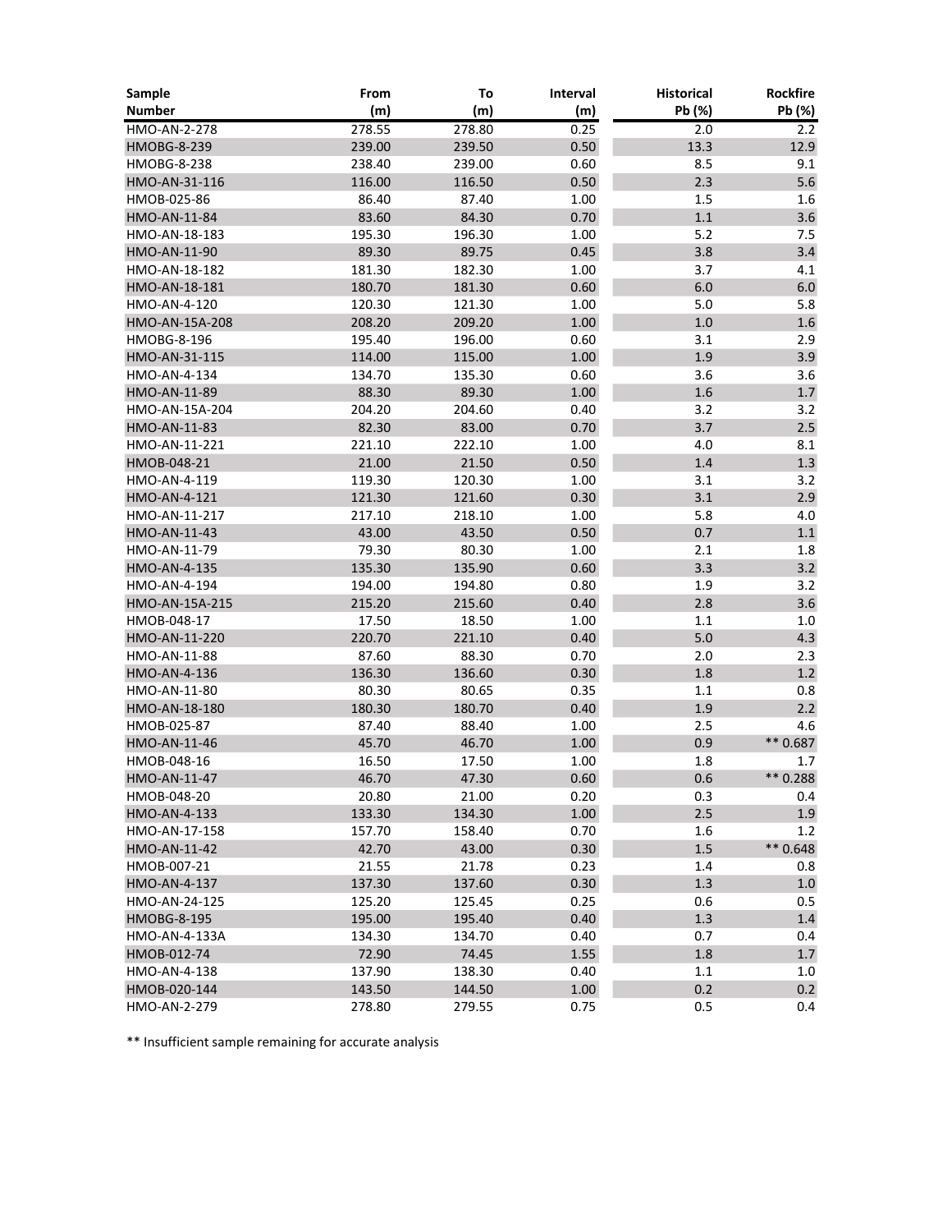| Sample             | From   | To     | Interval | <b>Historical</b> | Rockfire   |
|--------------------|--------|--------|----------|-------------------|------------|
| <b>Number</b>      | (m)    | (m)    | (m)      | Pb (%)            | Pb (%)     |
| HMO-AN-2-278       | 278.55 | 278.80 | 0.25     | 2.0               | 2.2        |
| <b>HMOBG-8-239</b> | 239.00 | 239.50 | 0.50     | 13.3              | 12.9       |
| <b>HMOBG-8-238</b> | 238.40 | 239.00 | 0.60     | 8.5               | 9.1        |
| HMO-AN-31-116      | 116.00 | 116.50 | 0.50     | 2.3               | 5.6        |
| HMOB-025-86        | 86.40  | 87.40  | 1.00     | 1.5               | 1.6        |
| HMO-AN-11-84       | 83.60  | 84.30  | 0.70     | $1.1\,$           | 3.6        |
| HMO-AN-18-183      | 195.30 | 196.30 | 1.00     | 5.2               | 7.5        |
| HMO-AN-11-90       | 89.30  | 89.75  | 0.45     | 3.8               | 3.4        |
| HMO-AN-18-182      | 181.30 | 182.30 | 1.00     | 3.7               | 4.1        |
| HMO-AN-18-181      | 180.70 | 181.30 | 0.60     | 6.0               | $6.0\,$    |
| HMO-AN-4-120       | 120.30 | 121.30 | 1.00     | 5.0               | 5.8        |
| HMO-AN-15A-208     | 208.20 | 209.20 | 1.00     | $1.0\,$           | $1.6\,$    |
| HMOBG-8-196        | 195.40 | 196.00 | 0.60     | 3.1               | 2.9        |
| HMO-AN-31-115      | 114.00 | 115.00 | 1.00     | 1.9               | 3.9        |
| HMO-AN-4-134       | 134.70 | 135.30 | 0.60     | 3.6               | 3.6        |
| HMO-AN-11-89       | 88.30  | 89.30  | 1.00     | 1.6               | $1.7\,$    |
| HMO-AN-15A-204     | 204.20 | 204.60 | 0.40     | 3.2               | 3.2        |
| HMO-AN-11-83       | 82.30  | 83.00  | 0.70     | 3.7               | 2.5        |
| HMO-AN-11-221      | 221.10 | 222.10 | 1.00     | 4.0               | 8.1        |
| HMOB-048-21        | 21.00  | 21.50  | 0.50     | 1.4               | $1.3\,$    |
| HMO-AN-4-119       | 119.30 | 120.30 | 1.00     | 3.1               | 3.2        |
| HMO-AN-4-121       | 121.30 | 121.60 | 0.30     | 3.1               | 2.9        |
| HMO-AN-11-217      | 217.10 | 218.10 | 1.00     | 5.8               | 4.0        |
| HMO-AN-11-43       | 43.00  | 43.50  | 0.50     | 0.7               | $1.1\,$    |
| HMO-AN-11-79       | 79.30  | 80.30  | 1.00     | 2.1               | 1.8        |
| HMO-AN-4-135       | 135.30 | 135.90 | 0.60     | 3.3               | 3.2        |
| HMO-AN-4-194       | 194.00 | 194.80 | 0.80     | 1.9               | 3.2        |
| HMO-AN-15A-215     | 215.20 | 215.60 | 0.40     | 2.8               | 3.6        |
| HMOB-048-17        | 17.50  | 18.50  | 1.00     | 1.1               | 1.0        |
| HMO-AN-11-220      | 220.70 | 221.10 | 0.40     | 5.0               | 4.3        |
| HMO-AN-11-88       | 87.60  | 88.30  | 0.70     | 2.0               | 2.3        |
| HMO-AN-4-136       | 136.30 | 136.60 | 0.30     | 1.8               | 1.2        |
| HMO-AN-11-80       | 80.30  | 80.65  | 0.35     | 1.1               | 0.8        |
| HMO-AN-18-180      | 180.30 | 180.70 | 0.40     | 1.9               | 2.2        |
| HMOB-025-87        | 87.40  | 88.40  | 1.00     | 2.5               | 4.6        |
| HMO-AN-11-46       | 45.70  | 46.70  | $1.00\,$ | 0.9               | ** 0.687   |
| HMOB-048-16        | 16.50  | 17.50  | 1.00     | 1.8               | 1.7        |
| HMO-AN-11-47       | 46.70  | 47.30  | 0.60     | 0.6               | ** 0.288   |
| HMOB-048-20        | 20.80  | 21.00  | 0.20     | 0.3               | 0.4        |
| HMO-AN-4-133       | 133.30 | 134.30 | $1.00\,$ | 2.5               | 1.9        |
| HMO-AN-17-158      | 157.70 | 158.40 | 0.70     | 1.6               | 1.2        |
| HMO-AN-11-42       | 42.70  | 43.00  | 0.30     | 1.5               | $** 0.648$ |
| HMOB-007-21        | 21.55  | 21.78  | 0.23     | 1.4               | 0.8        |
| HMO-AN-4-137       | 137.30 | 137.60 | 0.30     | 1.3               | $1.0\,$    |
| HMO-AN-24-125      | 125.20 | 125.45 | 0.25     | 0.6               | 0.5        |
| <b>HMOBG-8-195</b> | 195.00 | 195.40 | 0.40     | 1.3               | 1.4        |
| HMO-AN-4-133A      | 134.30 | 134.70 | 0.40     | 0.7               | 0.4        |
| HMOB-012-74        | 72.90  | 74.45  | 1.55     | $1.8\,$           | $1.7\,$    |
| HMO-AN-4-138       | 137.90 | 138.30 | 0.40     | 1.1               | 1.0        |
| HMOB-020-144       | 143.50 | 144.50 | 1.00     | 0.2               | 0.2        |
| HMO-AN-2-279       | 278.80 | 279.55 | 0.75     | 0.5               | 0.4        |

\*\* Insufficient sample remaining for accurate analysis